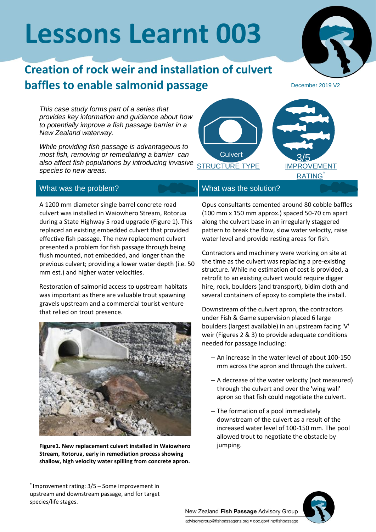# **Lessons Learnt 003**

## **Creation of rock weir and installation of culvert baffles to enable salmonid passage**

*This case study forms part of a series that provides key information and guidance about how to potentially improve a fish passage barrier in a New Zealand waterway.*

*While providing fish passage is advantageous to most fish, removing or remediating a barrier can also affect fish populations by introducing invasive species to new areas.* STRUCTURE TYPE

### What was the problem? What was the solution?

A 1200 mm diameter single barrel concrete road culvert was installed in Waiowhero Stream, Rotorua during a State Highway 5 road upgrade (Figure 1). This replaced an existing embedded culvert that provided effective fish passage. The new replacement culvert presented a problem for fish passage through being flush mounted, not embedded, and longer than the previous culvert; providing a lower water depth (i.e. 50 mm est.) and higher water velocities.

Restoration of salmonid access to upstream habitats was important as there are valuable trout spawning gravels upstream and a commercial tourist venture that relied on trout presence.



**Figure1. New replacement culvert installed in Waiowhero Stream, Rotorua, early in remediation process showing shallow, high velocity water spilling from concrete apron.**

#### \* Improvement rating: 3/5 – Some improvement in upstream and downstream passage, and for target species/life stages.

Culvert

Opus consultants cemented around 80 cobble baffles (100 mm x 150 mm approx.) spaced 50-70 cm apart along the culvert base in an irregularly staggered pattern to break the flow, slow water velocity, raise water level and provide resting areas for fish.

Contractors and machinery were working on site at the time as the culvert was replacing a pre-existing structure. While no estimation of cost is provided, a retrofit to an existing culvert would require digger hire, rock, boulders (and transport), bidim cloth and several containers of epoxy to complete the install.

Downstream of the culvert apron, the contractors under Fish & Game supervision placed 6 large boulders (largest available) in an upstream facing 'V' weir (Figures 2 & 3) to provide adequate conditions needed for passage including:

- An increase in the water level of about 100-150 mm across the apron and through the culvert.
- A decrease of the water velocity (not measured) through the culvert and over the 'wing wall' apron so that fish could negotiate the culvert.
- The formation of a pool immediately downstream of the culvert as a result of the increased water level of 100-150 mm. The pool allowed trout to negotiate the obstacle by jumping.

New Zealand Fish Passage Advisory Group advisorygroup@fishpassagenz.org · doc.govt.nz/fishpassage





December 2019 V2

IMPROVEMENT **RATING** 

3/5